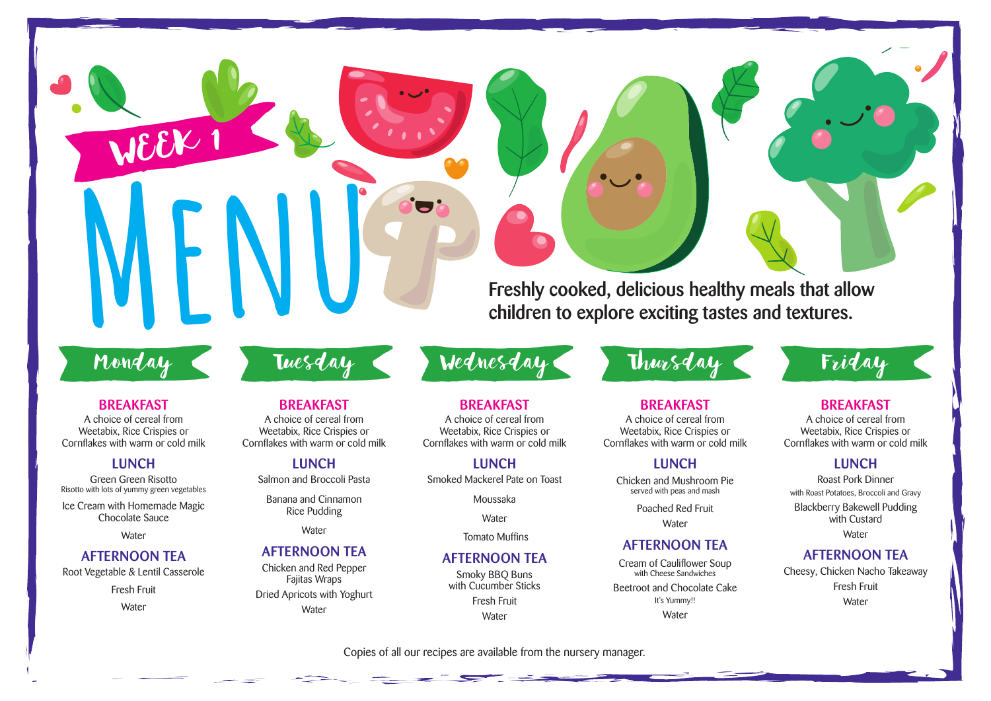**Freshly cooked, delicious healthy meals that allow children to explore exciting tastes and textures.**

# Monday

BWEEK 1

**Menu**

#### **BREAKFAST**

A choice of cereal from Weetabix, Rice Crispies or Cornflakes with warm or cold milk

#### **LUNCH**

Green Green Risotto Risotto with lots of yummy green vegetables

Ice Cream with Homemade Magic Chocolate Sauce

**Water** 

# **AFTERNOON TEA**

Root Vegetable & Lentil Casserole

Fresh Fruit

**Water** 

# **BREAKFAST**

A choice of cereal from Weetabix, Rice Crispies or Cornflakes with warm or cold milk

**LUNCH** Salmon and Broccoli Pasta

Banana and Cinnamon Rice Pudding

**Water** 

# **AFTERNOON TEA**

Chicken and Red Pepper Fajitas Wraps Dried Apricots with Yoghurt **Water** 

**BREAKFAST** A choice of cereal from Weetabix, Rice Crispies or Cornflakes with warm or cold milk

# **LUNCH**

Smoked Mackerel Pate on Toast

Moussaka

**Water** 

Tomato Muffins

## **AFTERNOON TEA**

Smoky BBQ Buns with Cucumber Sticks Fresh Fruit **Water** 

# Tuesday Wednesday Bursday Friday

# **BREAKFAST**

A choice of cereal from Weetabix, Rice Crispies or Cornflakes with warm or cold milk

### **LUNCH**

Chicken and Mushroom Pie served with peas and mash

> Poached Red Fruit **Water**

# **AFTERNOON TEA**

Cream of Cauliflower Soup with Cheese Sandwiches Beetroot and Chocolate Cake It's Yummy!! **Water** 

# **BREAKFAST**

A choice of cereal from Weetabix, Rice Crispies or Cornflakes with warm or cold milk

### **LUNCH**

Roast Pork Dinner with Roast Potatoes, Broccoli and Gravy Blackberry Bakewell Pudding with Custard **Water** 

# **AFTERNOON TEA**

Cheesy, Chicken Nacho Takeaway Fresh Fruit **Water**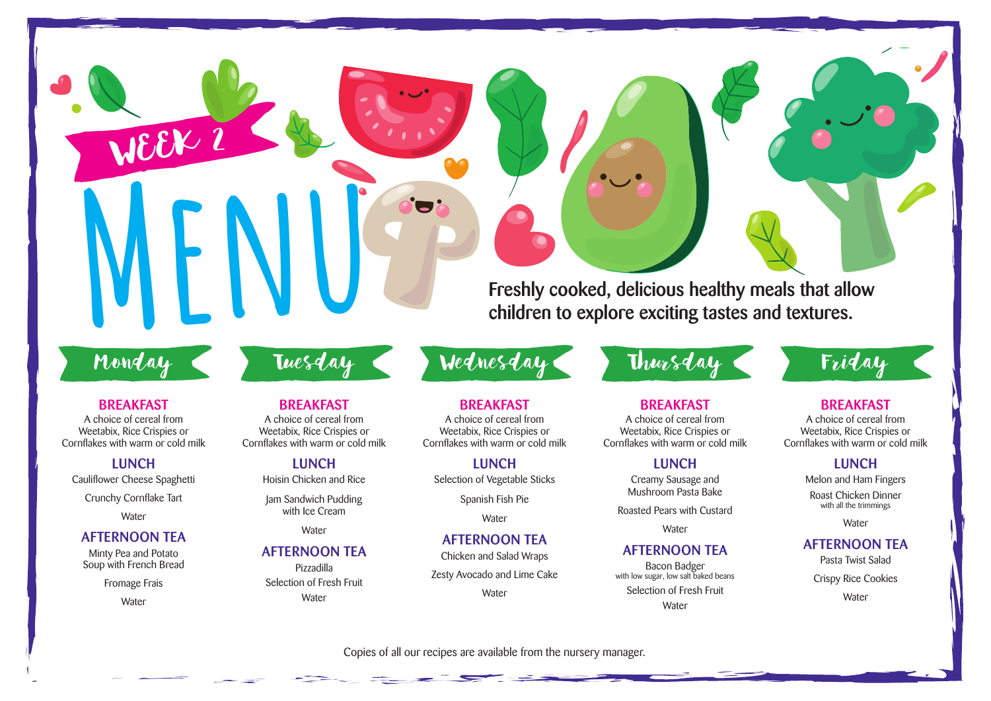Freshly cooked, delicious healthy meals that allow<br>children to explore exciting tastes and textures. **children to explore exciting tastes and textures.**

# Monday

BWEEK 2

#### **BREAKFAST**

A choice of cereal from Weetabix, Rice Crispies or Cornflakes with warm or cold milk

#### **LUNCH**

Cauliflower Cheese Spaghetti

Crunchy Cornflake Tart

**Water** 

#### **AFTERNOON TEA**

Minty Pea and Potato Soup with French Bread

Fromage Frais

**Water** 

# **BREAKFAST**

A choice of cereal from Weetabix, Rice Crispies or Cornflakes with warm or cold milk

# **LUNCH**

Hoisin Chicken and Rice

Jam Sandwich Pudding with Ice Cream

**Water** 

# **AFTERNOON TEA**

Pizzadilla Selection of Fresh Fruit **Water** 

A choice of cereal from Weetabix, Rice Crispies or Cornflakes with warm or cold milk

**BREAKFAST**

**LUNCH** Selection of Vegetable Sticks

Spanish Fish Pie

**Water** 

# **AFTERNOON TEA**

Chicken and Salad Wraps

Zesty Avocado and Lime Cake

**Water** 

# Tuesday Wednesday Bursday Friday

**BREAKFAST**

A choice of cereal from Weetabix, Rice Crispies or Cornflakes with warm or cold milk

#### **LUNCH**

Creamy Sausage and Mushroom Pasta Bake

Roasted Pears with Custard

**Water** 

# **AFTERNOON TEA**

Bacon Badger with low sugar, low salt baked beans Selection of Fresh Fruit **Water** 

# **BREAKFAST**

A choice of cereal from Weetabix, Rice Crispies or Cornflakes with warm or cold milk

### **LUNCH**

Melon and Ham Fingers

Roast Chicken Dinner with all the trimmings

**Water** 

# **AFTERNOON TEA**

Pasta Twist Salad

Crispy Rice Cookies

**Water**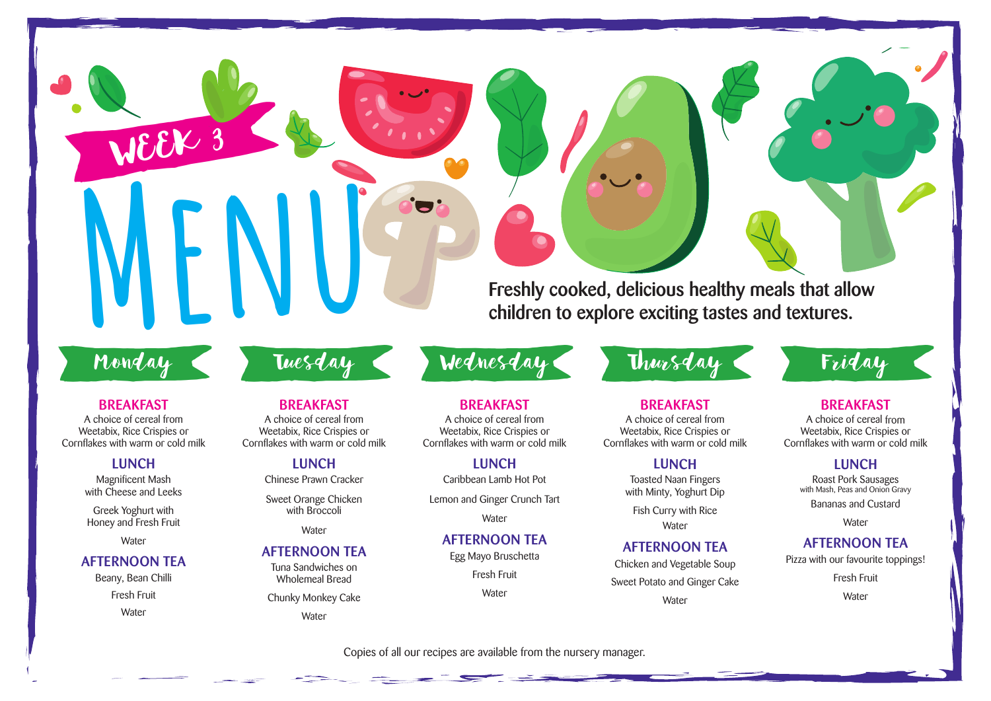Freshly cooked, delicious healthy meals that allow<br>children to explore exciting tastes and textures. **children to explore exciting tastes and textures.**

# Monday

WEEK 3

#### **BREAKFAST**

A choice of cereal from Weetabix, Rice Crispies or Cornflakes with warm or cold milk

#### **LUNCH**

Magnificent Mash with Cheese and Leeks

Greek Yoghurt with Honey and Fresh Fruit

**Water** 

#### **AFTERNOON TEA**

Beany, Bean Chilli Fresh Fruit **Water** 

# **BREAKFAST**

A choice of cereal from Weetabix, Rice Crispies or Cornflakes with warm or cold milk

### **LUNCH**

Chinese Prawn Cracker

Sweet Orange Chicken with Broccoli

**Water** 

### **AFTERNOON TEA**

Tuna Sandwiches on Wholemeal Bread

Chunky Monkey Cake

Water

# **BREAKFAST**

A choice of cereal from Weetabix, Rice Crispies or Cornflakes with warm or cold milk

# **LUNCH**

Caribbean Lamb Hot Pot

Lemon and Ginger Crunch Tart

**Water** 

# **AFTERNOON TEA**

Egg Mayo Bruschetta

Fresh Fruit

**Water** 

# Tuesday Wednesday Bursday Friday

# **BREAKFAST**

A choice of cereal from Weetabix, Rice Crispies or Cornflakes with warm or cold milk

#### **LUNCH**

Toasted Naan Fingers with Minty, Yoghurt Dip

Fish Curry with Rice **Water** 

# **AFTERNOON TEA**

Chicken and Vegetable Soup Sweet Potato and Ginger Cake **Water** 

# **BREAKFAST**

A choice of cereal from Weetabix, Rice Crispies or Cornflakes with warm or cold milk

# **LUNCH**

Roast Pork Sausages with Mash, Peas and Onion Gravy Bananas and Custard

**Water** 

## **AFTERNOON TEA**

Pizza with our favourite toppings!

Fresh Fruit

**Water**